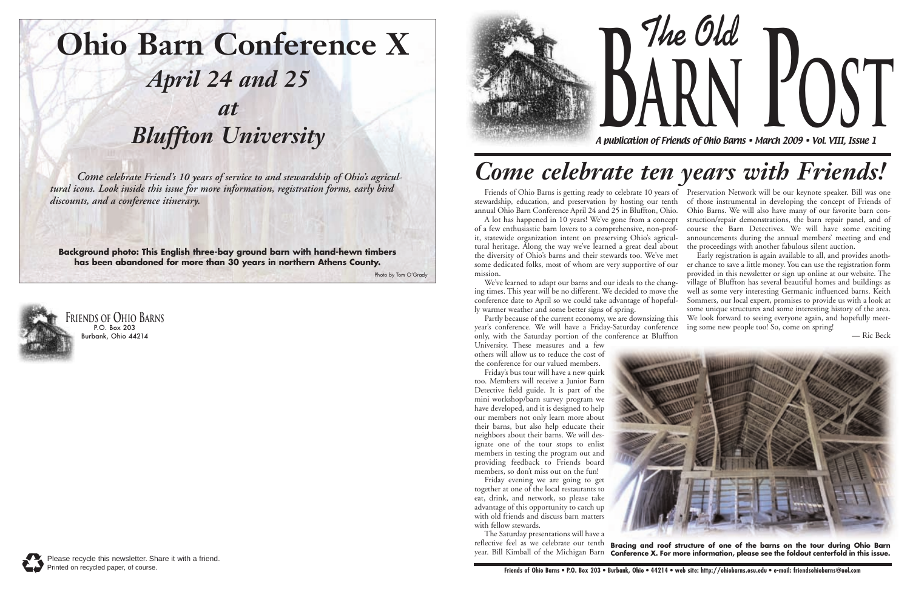

## Come celebrate Friend's 10 years of service to and stewardship of Ohio's agricul-<br>tural icons. Look inside this issue for more information, registration forms, early bird<br>Existed 6 Ohio Barrs is getting redu to celebrate

**The Old arn Post**

A publication of Friends of Ohio Barns • March 2009 • Vol. VIII, Issue 1





### **Ohio Barn Conference X** *April 24 and 25 at Bluffton University*

Friends of Ohio Barns is getting ready to celebrate 10 years of a series of Ohio Barns is getting ready to celebrate 10 years of a series of Ohio Barns is getting ready to celebrate 10 years of a series of Ohio Barns is ge

**Background photo: This English three-bay ground barn with hand-hewn timbers has been abandoned for more than 30 years in northern Athens County.**

Photo by Tom O'Grady

others will allow us to reduce the cost of the conference for our valued members.

Friday's bus tour will have a new quirk too. Members will receive a Junior Barn Detective field guide. It is part of the mini workshop/barn survey program we have developed, and it is designed to help our members not only learn more about their barns, but also help educate their neighbors about their barns. We will designate one of the tour stops to enlist members in testing the program out and providing feedback to Friends board members, so don't miss out on the fun!

annual Ohio Barn Conference April 24 and 25 in Bluffton, Ohio. A lot has happened in 10 years! We've gone from a concept of a few enthusiastic barn lovers to a comprehensive, non-profit, statewide organization intent on preserving Ohio's agricultural heritage. Along the way we've learned a great deal about the diversity of Ohio's barns and their stewards too. We've met We've learned to adapt our barns and our ideals to the chang-Friends of Ohio Barns is getting ready to celebrate 10 years of Preservation Network will be our keynote speaker. Bill was one of those instrumental in developing the concept of Friends of Ohio Barns. We will also have many of our favorite barn construction/repair demonstrations, the barn repair panel, and of course the Barn Detectives. We will have some exciting announcements during the annual members' meeting and end the proceedings with another fabulous silent auction. Early registration is again available to all, and provides another chance to save a little money. You can use the registration form provided in this newsletter or sign up online at our website. The village of Bluffton has several beautiful homes and buildings as well as some very interesting Germanic influenced barns. Keith Sommers, our local expert, promises to provide us with a look at

some dedicated folks, most of whom are very supportive of our mission. ing times. This year will be no different. We decided to move the conference date to April so we could take advantage of hopefully warmer weather and some better signs of spring. some unique structures and some interesting history of the area.

Friday evening we are going to get together at one of the local restaurants to eat, drink, and network, so please take advantage of this opportunity to catch up with old friends and discuss barn matters with fellow stewards.

The Saturday presentations will have a reflective feel as we celebrate our tenth





Partly because of the current economy, we are downsizing this year's conference. We will have a Friday-Saturday conference only, with the Saturday portion of the conference at Bluffton University. These measures and a few We look forward to seeing everyone again, and hopefully meeting some new people too! So, come on spring! — Ric Beck

year. Bill Kimball of the Michigan Barn **Conference X. For more information, please see the foldout centerfold in this issue.Bracing and roof structure of one of the barns on the tour during Ohio Barn**